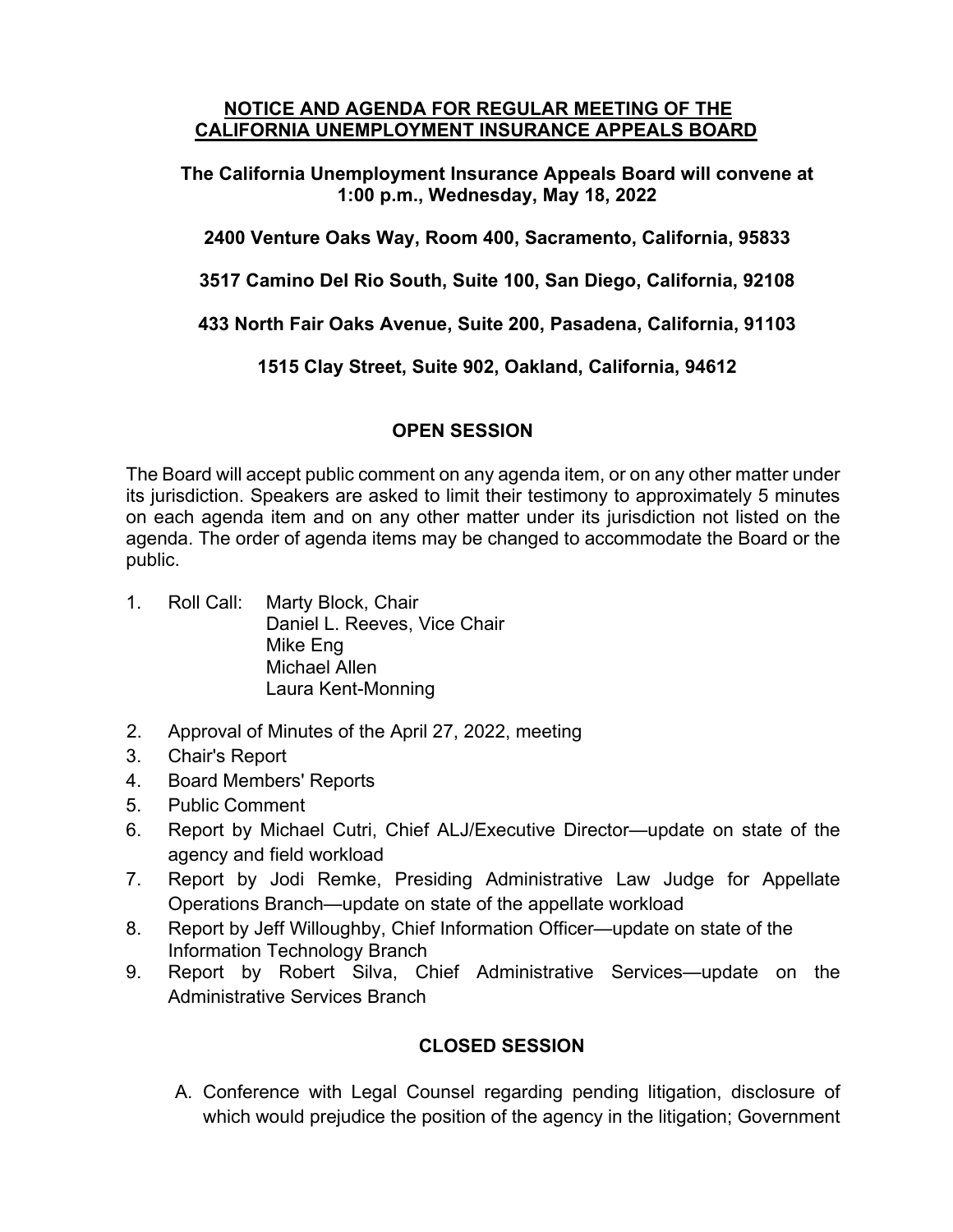#### **NOTICE AND AGENDA FOR REGULAR MEETING OF THE CALIFORNIA UNEMPLOYMENT INSURANCE APPEALS BOARD**

**The California Unemployment Insurance Appeals Board will convene at 1:00 p.m., Wednesday, May 18, 2022** 

**2400 Venture Oaks Way, Room 400, Sacramento, California, 95833**

**3517 Camino Del Rio South, Suite 100, San Diego, California, 92108**

**433 North Fair Oaks Avenue, Suite 200, Pasadena, California, 91103**

**1515 Clay Street, Suite 902, Oakland, California, 94612**

#### **OPEN SESSION**

The Board will accept public comment on any agenda item, or on any other matter under its jurisdiction. Speakers are asked to limit their testimony to approximately 5 minutes on each agenda item and on any other matter under its jurisdiction not listed on the agenda. The order of agenda items may be changed to accommodate the Board or the public.

- 1. Roll Call: Marty Block, Chair Daniel L. Reeves, Vice Chair Mike Eng Michael Allen Laura Kent-Monning
- 2. Approval of Minutes of the April 27, 2022, meeting
- 3. Chair's Report
- 4. Board Members' Reports
- 5. Public Comment
- 6. Report by Michael Cutri, Chief ALJ/Executive Director—update on state of the agency and field workload
- 7. Report by Jodi Remke, Presiding Administrative Law Judge for Appellate Operations Branch—update on state of the appellate workload
- 8. Report by Jeff Willoughby, Chief Information Officer—update on state of the Information Technology Branch
- 9. Report by Robert Silva, Chief Administrative Services—update on the Administrative Services Branch

# **CLOSED SESSION**

A. Conference with Legal Counsel regarding pending litigation, disclosure of which would prejudice the position of the agency in the litigation; Government